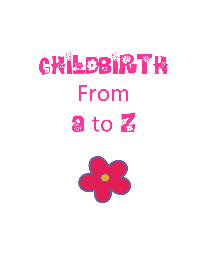

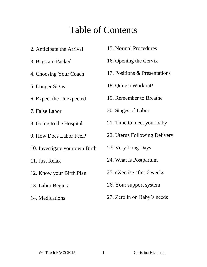## Table of Contents

- 2. Anticipate the Arrival
- 3. Bags are Packed
- 4. Choosing Your Coach
- 5. Danger Signs
- 6. Expect the Unexpected
- 7. False Labor
- 8. Going to the Hospital
- 9. How Does Labor Feel?
- 10. Investigate your own Birth
- 11. Just Relax
- 12. Know your Birth Plan
- 13. Labor Begins
- 14. Medications
- 15. Normal Procedures
- 16. Opening the Cervix
- 17. Positions & Presentations
- 18. Quite a Workout!
- 19. Remember to Breathe
- 20. Stages of Labor
- 21. Time to meet your baby
- 22. Uterus Following Delivery
- 23. Very Long Days
- 24. What is Postpartum
- 25. eXercise after 6 weeks
- 26. Your support system
- 27. Zero in on Baby's needs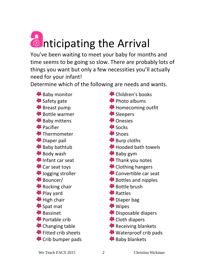

You've been waiting to meet your baby for months and time seems to be going so slow. There are probably lots of things you want but only a few necessities you'll actually need for your infant!

Determine which of the following are needs and wants.

**Baby monitor** <sup>S</sup> Safety gate Breast pump Bottle warmer <sup>8</sup> Baby mittens <sup><sup>8</sup></sup> Pacifier <sup>\$</sup>Thermometer <sup>1</sup> Diaper pail Baby bathtub **Body wash B** Infant car seat Car seat toys **B** Jogging stroller Bouncer/ **Rocking chair** <sup>1</sup> Play yard  $\bigoplus$  High chair **<sup>●</sup>Spat mat B** Bassinet **Portable crib** Changing table **Fitted crib sheets** Crib bumper pads

Children's books **<sup>●</sup>** Photo albums Homecoming outfit Sleepers <sup>46</sup> Onesies **Socks** <sup>**St**</sup> Shoes **<sup>●</sup>** Burp cloths **\*** Hooded bath towels Baby gym **Thank you notes <sup>●●</sup>** Clothing hangers Convertible car seat Bottles and nipples Bottle brush **B** Rattles <sup>1</sup> Diaper bag **Wipes** Disposable diapers Cloth diapers Receiving blankets Waterproof crib pads **Baby blankets**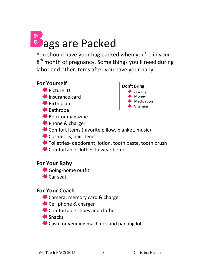# <sup>a</sup> ags are Packed

You should have your bag packed when you're in your 8<sup>th</sup> month of pregnancy. Some things you'll need during labor and other items after you have your baby.

#### **For Yourself**

- **Picture ID**
- **B** Insurance card
- **<sup>●●</sup>** Birth plan
- Bathrobe
- Book or magazine
- **Phone & charger**



- Comfort Items (favorite pillow, blanket, music)
- Cosmetics, hair items
- Toiletries- deodorant, lotion, tooth paste, tooth brush
- Comfortable clothes to wear home

#### **For Your Baby**

- Going-home outfit
- **B** Car seat

#### **For Your Coach**

- Camera, memory card & charger
- Cell phone & charger
- Comfortable shoes and clothes
- <sup>S</sup>Snacks
- Cash for vending machines and parking lot.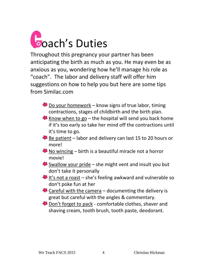

Throughout this pregnancy your partner has been anticipating the birth as much as you. He may even be as anxious as you, wondering how he'll manage his role as "coach". The labor and delivery staff will offer him suggestions on how to help you but here are some tips from Similac.com

- $\bullet$  Do your homework know signs of true labor, timing contractions, stages of childbirth and the birth plan.
- Know when to go the hospital will send you back home if it's too early so take her mind off the contractions until it's time to go.
- $\bullet$  Be patient labor and delivery can last 15 to 20 hours or more!
- K No wincing birth is a beautiful miracle not a horror movie!
- Swallow your pride she might vent and insult you but don't take it personally
- $\bullet$  It's not a roast she's feeling awkward and vulnerable so don't poke fun at her
- Careful with the camera documenting the delivery is great but careful with the angles & commentary.
- Don't forget to pack comfortable clothes, shaver and shaving cream, tooth brush, tooth paste, deodorant.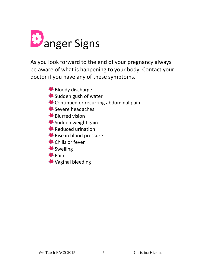

As you look forward to the end of your pregnancy always be aware of what is happening to your body. Contact your doctor if you have any of these symptoms.

- **Bloody discharge**
- Sudden gush of water
- Continued or recurring abdominal pain
- Severe headaches
- **B** Blurred vision
- Sudden weight gain
- **Reduced urination**
- Rise in blood pressure
- Chills or fever
- Swelling
- **<sup><sup>8</sup>** Pain</sup>
- Vaginal bleeding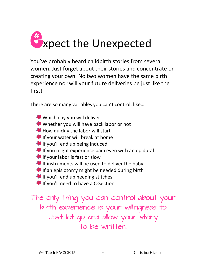

You've probably heard childbirth stories from several women. Just forget about their stories and concentrate on creating your own. No two women have the same birth experience nor will your future deliveries be just like the first!

There are so many variables you can't control, like…

- Which day you will deliver
- Whether you will have back labor or not
- How quickly the labor will start
- **If your water will break at home**
- If you'll end up being induced
- If you might experience pain even with an epidural
- If your labor is fast or slow
- If instruments will be used to deliver the baby
- If an episiotomy might be needed during birth
- **If you'll end up needing stitches**
- **If** If you'll need to have a C-Section

The only thing you can control about your birth experience is your willingness to Just let go and allow your story to be written.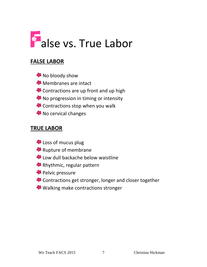

#### **FALSE LABOR**

 $\bullet$  No bloody show **Membranes are intact** Contractions are up front and up high <sup>8</sup> No progression in timing or intensity Contractions stop when you walk No cervical changes

#### **TRUE LABOR**

- Loss of mucus plug
- Rupture of membrane
- Low dull backache below waistline
- Rhythmic, regular pattern
- **Pelvic pressure**
- Contractions get stronger, longer and closer together
- Walking make contractions stronger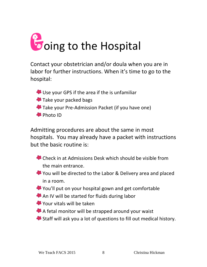

Contact your obstetrician and/or doula when you are in labor for further instructions. When it's time to go to the hospital:

Use your GPS if the area if the is unfamiliar Take your packed bags **Take your Pre-Admission Packet (if you have one) B** Photo ID

Admitting procedures are about the same in most hospitals. You may already have a packet with instructions but the basic routine is:

- Check in at Admissions Desk which should be visible from the main entrance.
- You will be directed to the Labor & Delivery area and placed in a room.
- You'll put on your hospital gown and get comfortable
- An IV will be started for fluids during labor
- Your vitals will be taken
- A fetal monitor will be strapped around your waist
- Staff will ask you a lot of questions to fill out medical history.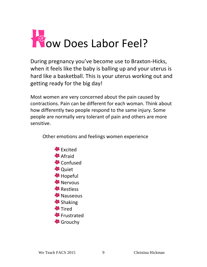

During pregnancy you've become use to Braxton-Hicks, when it feels like the baby is balling up and your uterus is hard like a basketball. This is your uterus working out and getting ready for the big day!

Most women are very concerned about the pain caused by contractions. Pain can be different for each woman. Think about how differently two people respond to the same injury. Some people are normally very tolerant of pain and others are more sensitive.

Other emotions and feelings women experience

**B** Excited **A** Afraid **Confused <sup>8</sup>** Quiet **\*** Hopeful **S** Nervous **B** Restless <sup>1</sup> Nauseous <sup>**<sup>8</sup>** Shaking</sup> **\*** Tired **S**Frustrated Grouchy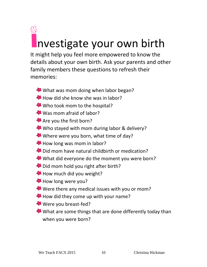# <u>ee</u> nvestigate your own birth

It might help you feel more empowered to know the details about your own birth. Ask your parents and other family members these questions to refresh their memories:

- What was mom doing when labor began?
- How did she know she was in labor?
- Who took mom to the hospital?
- Was mom afraid of labor?
- Are you the first born?
- Who stayed with mom during labor & delivery?
- Where were you born, what time of day?
- How long was mom in labor?
- Did mom have natural childbirth or medication?
- What did everyone do the moment you were born?
- Did mom hold you right after birth?
- How much did you weight?
- **How long were you?**
- Were there any medical issues with you or mom?
- How did they come up with your name?
- Were you breast-fed?
- What are some things that are done differently today than when you were born?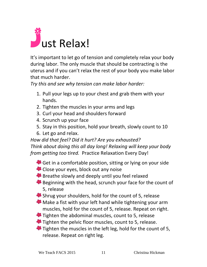

It's important to let go of tension and completely relax your body during labor. The only muscle that should be contracting is the uterus and if you can't relax the rest of your body you make labor that much harder.

*Try this and see why tension can make labor harder:*

- 1. Pull your legs up to your chest and grab them with your hands.
- 2. Tighten the muscles in your arms and legs
- 3. Curl your head and shoulders forward
- 4. Scrunch up your face
- 5. Stay in this position, hold your breath, slowly count to 10
- 6. Let go and relax.

*How did that feel? Did it hurt? Are you exhausted? Think about doing this all day long! Relaxing will keep your body from getting too tired.* Practice Relaxation Every Day!

- Get in a comfortable position, sitting or lying on your side
- Close your eyes, block out any noise
- Breathe slowly and deeply until you feel relaxed
- Beginning with the head, scrunch your face for the count of 5, release
- Shrug your shoulders, hold for the count of 5, release
- **Make a fist with your left hand while tightening your arm** muscles, hold for the count of 5, release. Repeat on right.
- Tighten the abdominal muscles, count to 5, release
- Tighten the pelvic floor muscles, count to 5, release.
- Tighten the muscles in the left leg, hold for the count of 5, release. Repeat on right leg.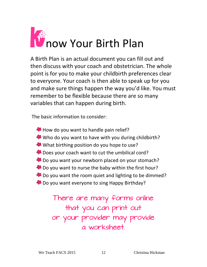

A Birth Plan is an actual document you can fill out and then discuss with your coach and obstetrician. The whole point is for you to make your childbirth preferences clear to everyone. Your coach is then able to speak up for you and make sure things happen the way you'd like. You must remember to be flexible because there are so many variables that can happen during birth.

The basic information to consider:

How do you want to handle pain relief? Who do you want to have with you during childbirth? What birthing position do you hope to use? Does your coach want to cut the umbilical cord? **Do you want your newborn placed on your stomach?** Do you want to nurse the baby within the first hour? **B** Do you want the room quiet and lighting to be dimmed? **B** Do you want everyone to sing Happy Birthday?

> There are many forms online that you can print out or your provider may provide a worksheet.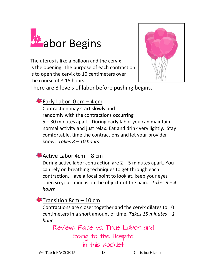

The uterus is like a balloon and the cervix is the opening. The purpose of each contraction is to open the cervix to 10 centimeters over the course of 8-15 hours.



There are 3 levels of labor before pushing begins.

 $\blacktriangleright$  Early Labor 0 cm – 4 cm

Contraction may start slowly and randomly with the contractions occurring 5 – 30 minutes apart. During early labor you can maintain normal activity and just relax. Eat and drink very lightly. Stay comfortable, time the contractions and let your provider know. *Takes 8 – 10 hours*

Active Labor 4cm – 8 cm

During active labor contraction are 2 – 5 minutes apart. You can rely on breathing techniques to get through each contraction. Have a focal point to look at, keep your eyes open so your mind is on the object not the pain. *Takes 3 – 4 hours*

Transition 8 $cm - 10$  cm

Contractions are closer together and the cervix dilates to 10 centimeters in a short amount of time. *Takes 15 minutes – 1 hour*

Review: False vs. True Labor and Going to the Hospital in this booklet

We Teach FACS 2015 13 Christina Hickman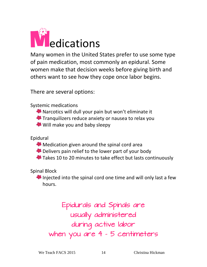

Many women in the United States prefer to use some type of pain medication, most commonly an epidural. Some women make that decision weeks before giving birth and others want to see how they cope once labor begins.

There are several options:

Systemic medications

- Narcotics will dull your pain but won't eliminate it
- **Tranquilizers reduce anxiety or nausea to relax you**
- Will make you and baby sleepy

Epidural

- **Medication given around the spinal cord area**
- Delivers pain relief to the lower part of your body
- Takes 10 to 20 minutes to take effect but lasts continuously

Spinal Block

Injected into the spinal cord one time and will only last a few hours.

Epidurals and Spinals are usually administered during active labor when you are 4 - 5 centimeters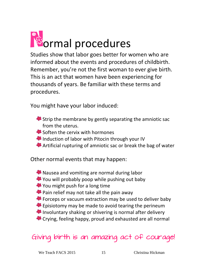

Studies show that labor goes better for women who are informed about the events and procedures of childbirth. Remember, you're not the first woman to ever give birth. This is an act that women have been experiencing for thousands of years. Be familiar with these terms and procedures.

You might have your labor induced:

- Strip the membrane by gently separating the amniotic sac from the uterus.
- Soften the cervix with hormones
- Induction of labor with Pitocin through your IV
- Artificial rupturing of amniotic sac or break the bag of water

Other normal events that may happen:

Nausea and vomiting are normal during labor You will probably poop while pushing out baby You might push for a long time **Pain relief may not take all the pain away** Forceps or vacuum extraction may be used to deliver baby Episiotomy may be made to avoid tearing the perineum Involuntary shaking or shivering is normal after delivery Crying, feeling happy, proud and exhausted are all normal

### Giving birth is an amazing act of courage!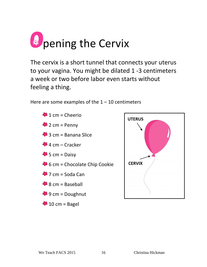

The cervix is a short tunnel that connects your uterus to your vagina. You might be dilated 1 -3 centimeters a week or two before labor even starts without feeling a thing.

Here are some examples of the  $1 - 10$  centimeters



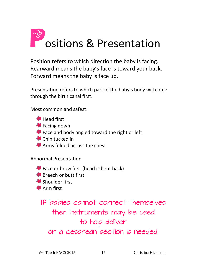

Position refers to which direction the baby is facing. Rearward means the baby's face is toward your back. Forward means the baby is face up.

Presentation refers to which part of the baby's body will come through the birth canal first.

Most common and safest:

**B** Head first

- **←** Facing down
- Face and body angled toward the right or left
- <sup>1</sup> Chin tucked in
- Arms folded across the chest

Abnormal Presentation

Face or brow first (head is bent back) **Breech or butt first** Shoulder first **Arm** first

If babies cannot correct themselves then instruments may be used to help deliver or a cesarean section is needed.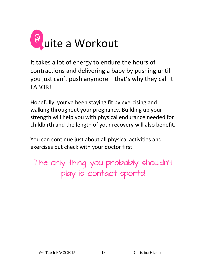

It takes a lot of energy to endure the hours of contractions and delivering a baby by pushing until you just can't push anymore – that's why they call it LABOR!

Hopefully, you've been staying fit by exercising and walking throughout your pregnancy. Building up your strength will help you with physical endurance needed for childbirth and the length of your recovery will also benefit.

You can continue just about all physical activities and exercises but check with your doctor first.

The only thing you probably shouldn't play is contact sports!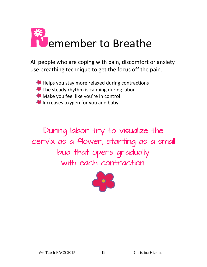

All people who are coping with pain, discomfort or anxiety use breathing technique to get the focus off the pain.

Helps you stay more relaxed during contractions

- The steady rhythm is calming during labor
- **Make you feel like you're in control**
- Increases oxygen for you and baby

During labor try to visualize the cervix as a flower; starting as a small bud that opens gradually with each contraction.

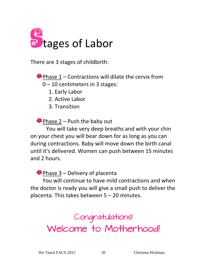

There are 3 stages of childbirth:

 $\bullet$  Phase 1 – Contractions will dilate the cervix from

0 – 10 centimeters in 3 stages:

1. Early Labor

2. Active Labor

3. Transition

**Phase 2 – Push the baby out** 

You will take very deep breaths and with your chin on your chest you will bear down for as long as you can during contractions. Baby will move down the birth canal until it's delivered. Women can push between 15 minutes and 2 hours.

 $\bullet$  Phase 3 – Delivery of placenta

You will continue to have mild contractions and when the doctor is ready you will give a small push to deliver the placenta. This takes between 5 – 20 minutes.

> Congratulations! Welcome to Motherhood!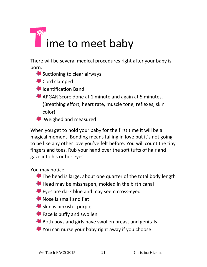

There will be several medical procedures right after your baby is born.

Suctioning to clear airways

Cord clamped

**B** Identification Band

APGAR Score done at 1 minute and again at 5 minutes. (Breathing effort, heart rate, muscle tone, reflexes, skin color)

**<sup>●●</sup>** Weighed and measured

When you get to hold your baby for the first time it will be a magical moment. Bonding means falling in love but it's not going to be like any other love you've felt before. You will count the tiny fingers and toes. Rub your hand over the soft tufts of hair and gaze into his or her eyes.

You may notice:

- The head is large, about one quarter of the total body length
- Head may be misshapen, molded in the birth canal
- Eyes are dark blue and may seem cross-eyed
- Nose is small and flat
- Skin is pinkish purple
- **Face is puffy and swollen**
- Both boys and girls have swollen breast and genitals
- You can nurse your baby right away if you choose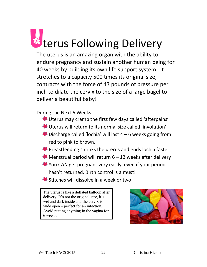

The uterus is an amazing organ with the ability to endure pregnancy and sustain another human being for 40 weeks by building its own life support system. It stretches to a capacity 500 times its original size, contracts with the force of 43 pounds of pressure per inch to dilate the cervix to the size of a large bagel to deliver a beautiful baby!

During the Next 6 Weeks:

- Uterus may cramp the first few days called 'afterpains'
- Uterus will return to its normal size called 'involution'
- $\bullet$  Discharge called 'lochia' will last  $4 6$  weeks going from red to pink to brown.
- Breastfeeding shrinks the uterus and ends lochia faster
- $\bullet$  Menstrual period will return 6 12 weeks after delivery
- You CAN get pregnant very easily, even if your period hasn't returned. Birth control is a must!
- Stitches will dissolve in a week or two

The uterus is like a deflated balloon after delivery. It's not the original size, it's wet and dark inside and the cervix is wide open – perfect for an infection. Avoid putting anything in the vagina for 6 weeks.

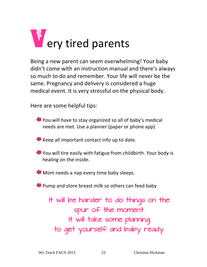

Being a new parent can seem overwhelming! Your baby didn't come with an instruction manual and there's always so much to do and remember. Your life will never be the same. Pregnancy and delivery is considered a huge medical event. It is very stressful on the physical body.

Here are some helpful tips:

You will have to stay organized so all of baby's medical needs are met. Use a planner (paper or phone app)

Keep all important contact info up to date.

You will tire easily with fatigue from childbirth. Your body is healing on the inside.

**Mom needs a nap every time baby sleeps.** 

Pump and store breast milk so others can feed baby

It will be harder to do things on the spur of the moment. It will take some planning to get yourself and baby ready.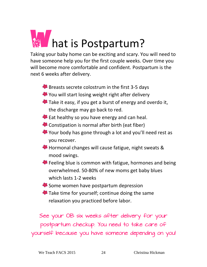

Taking your baby home can be exciting and scary. You will need to have someone help you for the first couple weeks. Over time you will become more comfortable and confident. Postpartum is the next 6 weeks after delivery.

Breasts secrete colostrum in the first 3-5 days

- You will start losing weight right after delivery
- Take it easy, if you get a burst of energy and overdo it, the discharge may go back to red.
- Eat healthy so you have energy and can heal.
- Constipation is normal after birth (eat fiber)
- Your body has gone through a lot and you'll need rest as you recover.
- Hormonal changes will cause fatigue, night sweats & mood swings.
- Feeling blue is common with fatigue, hormones and being overwhelmed. 50-80% of new moms get baby blues which lasts 1-2 weeks
- Some women have postpartum depression
- Take time for yourself; continue doing the same relaxation you practiced before labor.

See your OB six weeks after delivery for your postpartum checkup. You need to take care of yourself because you have someone depending on you!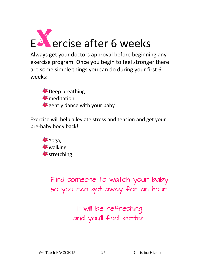

Always get your doctors approval before beginning any exercise program. Once you begin to feel stronger there are some simple things you can do during your first 6 weeks:

Deep breathing **\*** meditation gently dance with your baby

Exercise will help alleviate stress and tension and get your pre-baby body back!



Find someone to watch your baby so you can get away for an hour.

> It will be refreshing and you'll feel better.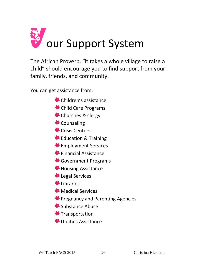

The African Proverb, "it takes a whole village to raise a child" should encourage you to find support from your family, friends, and community.

You can get assistance from:

- Children's assistance
- Child Care Programs
- Churches & clergy
- Counseling
- Crisis Centers
- Education & Training
- Employment Services
- Financial Assistance
- Government Programs
- **Housing Assistance**
- Legal Services
- Libraries
- **Medical Services**
- **Pregnancy and Parenting Agencies**
- Substance Abuse
- <sup>1</sup>S Transportation
- Utilities Assistance